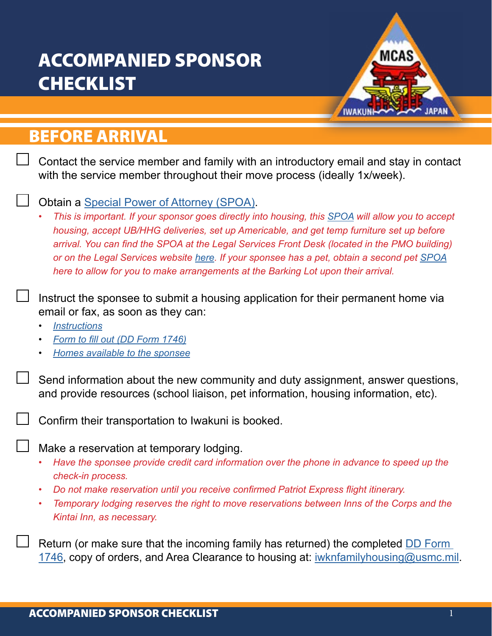# ACCOMPANIED SPONSOR **CHECKLIST**



## BEFORE ARRIVAL

Contact the service member and family with an introductory email and stay in contact with the service member throughout their move process (ideally 1x/week).

#### Obtain a [Special Power of Attorney \(SPOA\)](https://www.mcasiwakuni.marines.mil/Portals/112/Docs/sja/legal/SPOA.pdf).

*• This is important. If your sponsor goes directly into housing, this [SPOA](https://www.mcasiwakuni.marines.mil/Portals/112/Docs/sja/legal/SPOA.pdf) will allow you to accept housing, accept UB/HHG deliveries, set up Americable, and get temp furniture set up before arrival. You can find the SPOA at the Legal Services Front Desk (located in the PMO building) or on the Legal Services website [here.](https://www.mcasiwakuni.marines.mil/Organizations/Station/LSST/) If your sponsee has a pet, obtain a second pet [SPOA](https://www.mcasiwakuni.marines.mil/Portals/112/Docs/sja/legal/SPOA.pdf) [here](https://www.mcasiwakuni.marines.mil/Portals/112/Docs/sja/legal/PET_POA.pdf) to allow for you to make arrangements at the Barking Lot upon their arrival.*

Instruct the sponsee to submit a housing application for their permanent home via email or fax, as soon as they can:

- *• [Instructions](https://www.mcasiwakuni.marines.mil/Portals/112/Docs/welcome/familyhsg/How%20to%20apply%20for%20housing.pdf)*
- *• [Form to fill out \(DD Form 1746\)](https://www.esd.whs.mil/Portals/54/Documents/DD/forms/dd/dd1746.pdf)*
- *• [Homes available to the sponsee](https://www.esd.whs.mil/Portals/54/Documents/DD/forms/dd/dd1746.pdf)*

Send information about the new community and duty assignment, answer questions, and provide resources (school liaison, pet information, housing information, etc).

Confirm their transportation to Iwakuni is booked.

Make a reservation at temporary lodging.

- *• Have the sponsee provide credit card information over the phone in advance to speed up the check-in process.*
- *• Do not make reservation until you receive confirmed Patriot Express flight itinerary.*
- *• Temporary lodging reserves the right to move reservations between Inns of the Corps and the Kintai Inn, as necessary.*

Return (or make sure that the incoming family has returned) the completed [DD Form](https://www.esd.whs.mil/Portals/54/Documents/DD/forms/dd/dd1746.pdf)  [1746,](https://www.esd.whs.mil/Portals/54/Documents/DD/forms/dd/dd1746.pdf) copy of orders, and Area Clearance to housing at: [iwknfamilyhousing@usmc.mil](mailto:iwknfamilyhousing%40usmc.mil?subject=).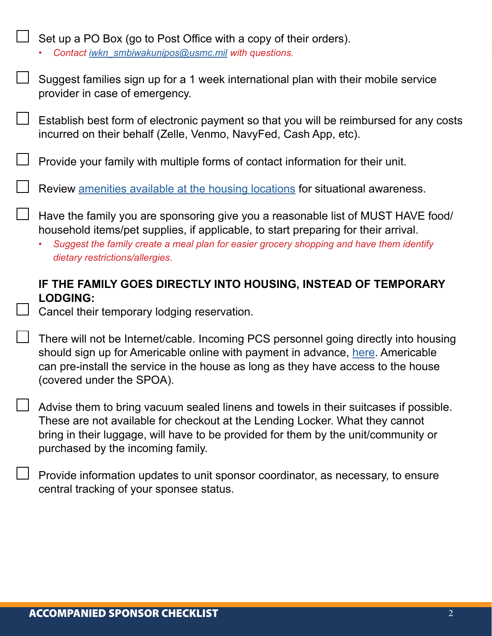| Set up a PO Box (go to Post Office with a copy of their orders).<br>Contact iwkn_smbiwakunipos@usmc.mil with questions.                                                                                                                                                                               |
|-------------------------------------------------------------------------------------------------------------------------------------------------------------------------------------------------------------------------------------------------------------------------------------------------------|
| Suggest families sign up for a 1 week international plan with their mobile service<br>provider in case of emergency.                                                                                                                                                                                  |
| Establish best form of electronic payment so that you will be reimbursed for any costs<br>incurred on their behalf (Zelle, Venmo, NavyFed, Cash App, etc).                                                                                                                                            |
| Provide your family with multiple forms of contact information for their unit.                                                                                                                                                                                                                        |
| Review amenities available at the housing locations for situational awareness.                                                                                                                                                                                                                        |
| Have the family you are sponsoring give you a reasonable list of MUST HAVE food/<br>household items/pet supplies, if applicable, to start preparing for their arrival.<br>Suggest the family create a meal plan for easier grocery shopping and have them identify<br>dietary restrictions/allergies. |
|                                                                                                                                                                                                                                                                                                       |
| IF THE FAMILY GOES DIRECTLY INTO HOUSING, INSTEAD OF TEMPORARY                                                                                                                                                                                                                                        |
| <b>LODGING:</b><br>Cancel their temporary lodging reservation.                                                                                                                                                                                                                                        |
| There will not be Internet/cable. Incoming PCS personnel going directly into housing<br>should sign up for Americable online with payment in advance, here. Americable<br>can pre-install the service in the house as long as they have access to the house<br>(covered under the SPOA).              |
| Advise them to bring vacuum sealed linens and towels in their suitcases if possible.<br>These are not available for checkout at the Lending Locker. What they cannot<br>bring in their luggage, will have to be provided for them by the unit/community or<br>purchased by the incoming family.       |
| Provide information updates to unit sponsor coordinator, as necessary, to ensure<br>central tracking of your sponsee status.                                                                                                                                                                          |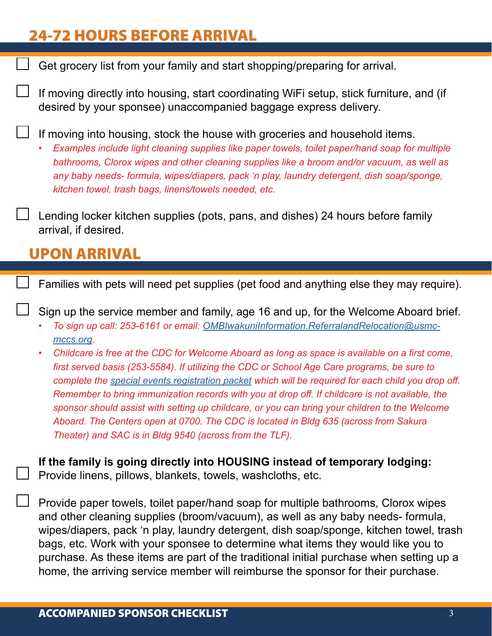## 24-72 HOURS BEFORE ARRIVAL

Get grocery list from your family and start shopping/preparing for arrival.

If moving directly into housing, start coordinating WiFi setup, stick furniture, and (if desired by your sponsee) unaccompanied baggage express delivery.

If moving into housing, stock the house with groceries and household items.

*• Examples include light cleaning supplies like paper towels, toilet paper/hand soap for multiple bathrooms, Clorox wipes and other cleaning supplies like a broom and/or vacuum, as well as any baby needs- formula, wipes/diapers, pack 'n play, laundry detergent, dish soap/sponge, kitchen towel, trash bags, linens/towels needed, etc.*

Lending locker kitchen supplies (pots, pans, and dishes) 24 hours before family arrival, if desired.

### UPON ARRIVAL

Families with pets will need pet supplies (pet food and anything else they may require).

Sign up the service member and family, age 16 and up, for the Welcome Aboard brief.

- *• To sign up call: 253-6161 or email: [OMBIwakuniInformation.ReferralandRelocation@usmc](mailto:OMBIwakuniInformation.ReferralandRelocation%40usmc-mccs.org?subject=)[mccs.org.](mailto:OMBIwakuniInformation.ReferralandRelocation%40usmc-mccs.org?subject=)*
- *• Childcare is free at the CDC for Welcome Aboard as long as space is available on a first come, first served basis (253-5584). If utilizing the CDC or School Age Care programs, be sure to complete the [special events registration packet](https://mccsiwakuni.com/wp-content/uploads/pdf/cytp-special-event-registration-packet.pdf) which will be required for each child you drop off. Remember to bring immunization records with you at drop off. If childcare is not available, the sponsor should assist with setting up childcare, or you can bring your children to the Welcome Aboard. The Centers open at 0700. The CDC is located in Bldg 635 (across from Sakura Theater) and SAC is in Bldg 9540 (across from the TLF).*

**If the family is going directly into HOUSING instead of temporary lodging:**  Provide linens, pillows, blankets, towels, washcloths, etc.

Provide paper towels, toilet paper/hand soap for multiple bathrooms, Clorox wipes and other cleaning supplies (broom/vacuum), as well as any baby needs- formula, wipes/diapers, pack 'n play, laundry detergent, dish soap/sponge, kitchen towel, trash bags, etc. Work with your sponsee to determine what items they would like you to purchase. As these items are part of the traditional initial purchase when setting up a home, the arriving service member will reimburse the sponsor for their purchase.